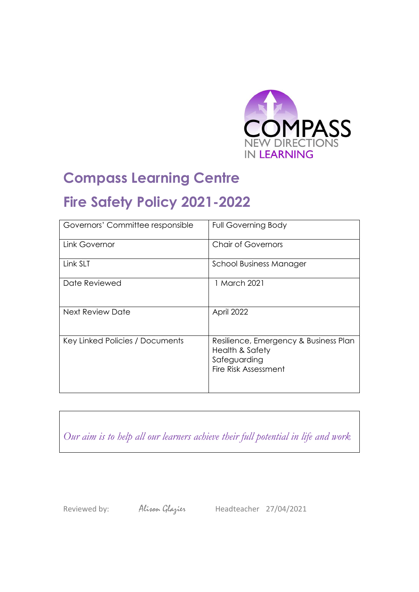

## **Compass Learning Centre Fire Safety Policy 2021-2022**

| Governors' Committee responsible | <b>Full Governing Body</b>                                                                       |
|----------------------------------|--------------------------------------------------------------------------------------------------|
| Link Governor                    | <b>Chair of Governors</b>                                                                        |
| Link SLT                         | <b>School Business Manager</b>                                                                   |
| Date Reviewed                    | 1 March 2021                                                                                     |
| Next Review Date                 | April 2022                                                                                       |
| Key Linked Policies / Documents  | Resilience, Emergency & Business Plan<br>Health & Safety<br>Safeguarding<br>Fire Risk Assessment |

*Our aim is to help all our learners achieve their full potential in life and work*

Reviewed by: Alison Glazier Headteacher 27/04/2021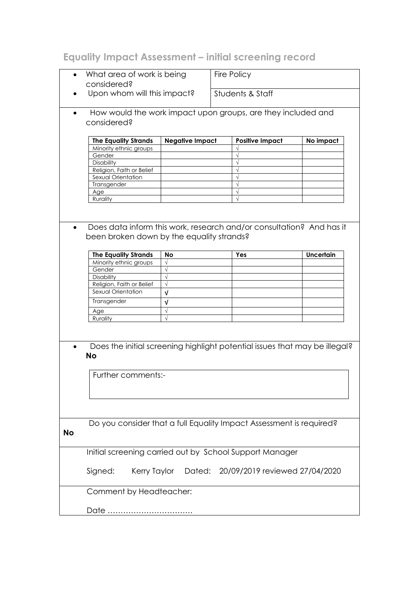## **Equality Impact Assessment – initial screening record**

| Fire Policy<br>What area of work is being<br>considered?                                                                       |                                                                                         |  |                                       |                  |  |  |  |  |  |  |
|--------------------------------------------------------------------------------------------------------------------------------|-----------------------------------------------------------------------------------------|--|---------------------------------------|------------------|--|--|--|--|--|--|
|                                                                                                                                | Upon whom will this impact?                                                             |  |                                       | Students & Staff |  |  |  |  |  |  |
| How would the work impact upon groups, are they included and<br>$\bullet$<br>considered?                                       |                                                                                         |  |                                       |                  |  |  |  |  |  |  |
| <b>The Equality Strands</b>                                                                                                    | <b>Negative Impact</b><br><b>Positive Impact</b><br>No impact<br>Minority ethnic groups |  |                                       |                  |  |  |  |  |  |  |
| Gender                                                                                                                         |                                                                                         |  |                                       |                  |  |  |  |  |  |  |
| Disability                                                                                                                     |                                                                                         |  |                                       |                  |  |  |  |  |  |  |
| Religion, Faith or Belief                                                                                                      |                                                                                         |  |                                       |                  |  |  |  |  |  |  |
| Sexual Orientation                                                                                                             |                                                                                         |  |                                       |                  |  |  |  |  |  |  |
| Transgender                                                                                                                    |                                                                                         |  |                                       |                  |  |  |  |  |  |  |
| Age                                                                                                                            |                                                                                         |  |                                       |                  |  |  |  |  |  |  |
| Rurality                                                                                                                       |                                                                                         |  | $\sqrt{}$                             |                  |  |  |  |  |  |  |
|                                                                                                                                |                                                                                         |  |                                       |                  |  |  |  |  |  |  |
| Does data inform this work, research and/or consultation? And has it<br>$\bullet$<br>been broken down by the equality strands? |                                                                                         |  |                                       |                  |  |  |  |  |  |  |
|                                                                                                                                |                                                                                         |  |                                       |                  |  |  |  |  |  |  |
| <b>The Equality Strands</b>                                                                                                    | No                                                                                      |  | Yes                                   | <b>Uncertain</b> |  |  |  |  |  |  |
| Minority ethnic groups                                                                                                         |                                                                                         |  |                                       |                  |  |  |  |  |  |  |
| Gender                                                                                                                         | $\sqrt{}$                                                                               |  |                                       |                  |  |  |  |  |  |  |
| Disability                                                                                                                     | $\sqrt{ }$                                                                              |  |                                       |                  |  |  |  |  |  |  |
| Religion, Faith or Belief                                                                                                      | $\sqrt{ }$                                                                              |  |                                       |                  |  |  |  |  |  |  |
| Sexual Orientation                                                                                                             | $\sqrt{ }$                                                                              |  |                                       |                  |  |  |  |  |  |  |
| Transgender                                                                                                                    | V                                                                                       |  |                                       |                  |  |  |  |  |  |  |
| Age                                                                                                                            | $\sqrt{}$                                                                               |  |                                       |                  |  |  |  |  |  |  |
| Rurality                                                                                                                       | $\sqrt{ }$                                                                              |  |                                       |                  |  |  |  |  |  |  |
| Does the initial screening highlight potential issues that may be illegal?<br><b>No</b><br>Further comments:-                  |                                                                                         |  |                                       |                  |  |  |  |  |  |  |
| Do you consider that a full Equality Impact Assessment is required?<br><b>No</b>                                               |                                                                                         |  |                                       |                  |  |  |  |  |  |  |
| Initial screening carried out by School Support Manager                                                                        |                                                                                         |  |                                       |                  |  |  |  |  |  |  |
| Signed:<br>Kerry Taylor                                                                                                        |                                                                                         |  | Dated: 20/09/2019 reviewed 27/04/2020 |                  |  |  |  |  |  |  |
|                                                                                                                                | Comment by Headteacher:                                                                 |  |                                       |                  |  |  |  |  |  |  |
| Date                                                                                                                           |                                                                                         |  |                                       |                  |  |  |  |  |  |  |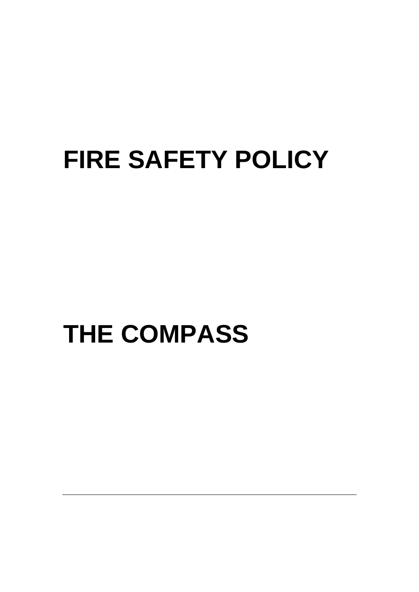# **FIRE SAFETY POLICY**

# **THE COMPASS**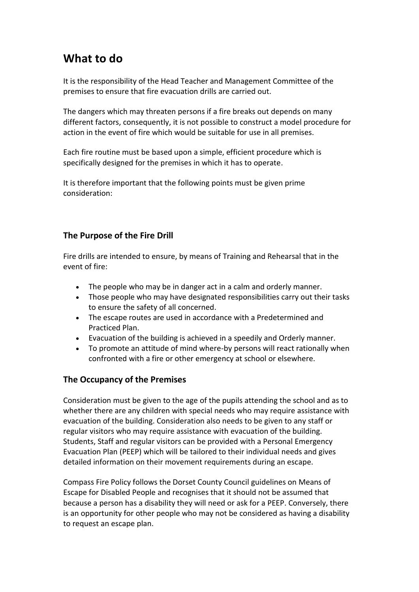### **What to do**

It is the responsibility of the Head Teacher and Management Committee of the premises to ensure that fire evacuation drills are carried out.

The dangers which may threaten persons if a fire breaks out depends on many different factors, consequently, it is not possible to construct a model procedure for action in the event of fire which would be suitable for use in all premises.

Each fire routine must be based upon a simple, efficient procedure which is specifically designed for the premises in which it has to operate.

It is therefore important that the following points must be given prime consideration:

#### **The Purpose of the Fire Drill**

Fire drills are intended to ensure, by means of Training and Rehearsal that in the event of fire:

- The people who may be in danger act in a calm and orderly manner.
- Those people who may have designated responsibilities carry out their tasks to ensure the safety of all concerned.
- The escape routes are used in accordance with a Predetermined and Practiced Plan.
- Evacuation of the building is achieved in a speedily and Orderly manner.
- To promote an attitude of mind where-by persons will react rationally when confronted with a fire or other emergency at school or elsewhere.

#### **The Occupancy of the Premises**

Consideration must be given to the age of the pupils attending the school and as to whether there are any children with special needs who may require assistance with evacuation of the building. Consideration also needs to be given to any staff or regular visitors who may require assistance with evacuation of the building. Students, Staff and regular visitors can be provided with a Personal Emergency Evacuation Plan (PEEP) which will be tailored to their individual needs and gives detailed information on their movement requirements during an escape.

Compass Fire Policy follows the Dorset County Council guidelines on Means of Escape for Disabled People and recognises that it should not be assumed that because a person has a disability they will need or ask for a PEEP. Conversely, there is an opportunity for other people who may not be considered as having a disability to request an escape plan.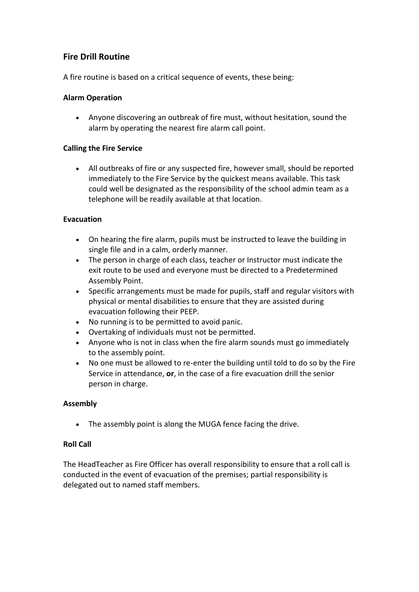#### **Fire Drill Routine**

A fire routine is based on a critical sequence of events, these being:

#### **Alarm Operation**

 Anyone discovering an outbreak of fire must, without hesitation, sound the alarm by operating the nearest fire alarm call point.

#### **Calling the Fire Service**

 All outbreaks of fire or any suspected fire, however small, should be reported immediately to the Fire Service by the quickest means available. This task could well be designated as the responsibility of the school admin team as a telephone will be readily available at that location.

#### **Evacuation**

- On hearing the fire alarm, pupils must be instructed to leave the building in single file and in a calm, orderly manner.
- The person in charge of each class, teacher or Instructor must indicate the exit route to be used and everyone must be directed to a Predetermined Assembly Point.
- Specific arrangements must be made for pupils, staff and regular visitors with physical or mental disabilities to ensure that they are assisted during evacuation following their PEEP.
- No running is to be permitted to avoid panic.
- Overtaking of individuals must not be permitted.
- Anyone who is not in class when the fire alarm sounds must go immediately to the assembly point.
- No one must be allowed to re-enter the building until told to do so by the Fire Service in attendance, **or**, in the case of a fire evacuation drill the senior person in charge.

#### **Assembly**

• The assembly point is along the MUGA fence facing the drive.

#### **Roll Call**

The HeadTeacher as Fire Officer has overall responsibility to ensure that a roll call is conducted in the event of evacuation of the premises; partial responsibility is delegated out to named staff members.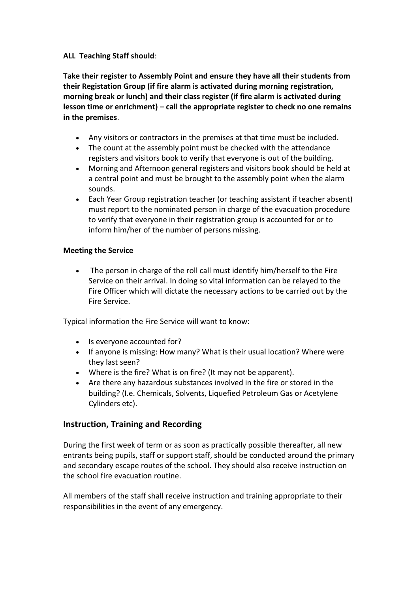#### **ALL Teaching Staff should**:

**Take their register to Assembly Point and ensure they have all their students from their Registation Group (if fire alarm is activated during morning registration, morning break or lunch) and their class register (if fire alarm is activated during lesson time or enrichment) – call the appropriate register to check no one remains in the premises**.

- Any visitors or contractors in the premises at that time must be included.
- The count at the assembly point must be checked with the attendance registers and visitors book to verify that everyone is out of the building.
- Morning and Afternoon general registers and visitors book should be held at a central point and must be brought to the assembly point when the alarm sounds.
- Each Year Group registration teacher (or teaching assistant if teacher absent) must report to the nominated person in charge of the evacuation procedure to verify that everyone in their registration group is accounted for or to inform him/her of the number of persons missing.

#### **Meeting the Service**

• The person in charge of the roll call must identify him/herself to the Fire Service on their arrival. In doing so vital information can be relayed to the Fire Officer which will dictate the necessary actions to be carried out by the Fire Service.

Typical information the Fire Service will want to know:

- Is everyone accounted for?
- If anyone is missing: How many? What is their usual location? Where were they last seen?
- Where is the fire? What is on fire? (It may not be apparent).
- Are there any hazardous substances involved in the fire or stored in the building? (I.e. Chemicals, Solvents, Liquefied Petroleum Gas or Acetylene Cylinders etc).

#### **Instruction, Training and Recording**

During the first week of term or as soon as practically possible thereafter, all new entrants being pupils, staff or support staff, should be conducted around the primary and secondary escape routes of the school. They should also receive instruction on the school fire evacuation routine.

All members of the staff shall receive instruction and training appropriate to their responsibilities in the event of any emergency.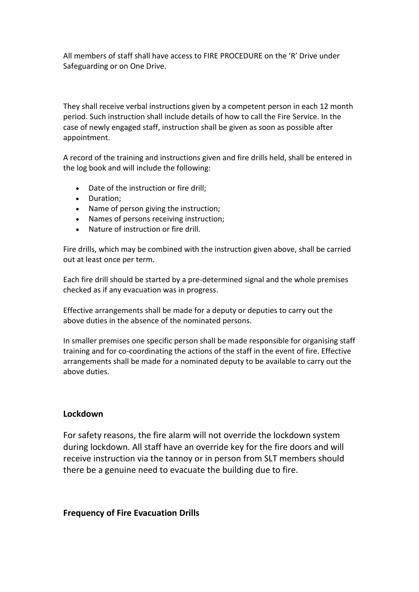All members of staff shall have access to FIRE PROCEDURE on the 'R' Drive under Safeguarding or on One Drive.

They shall receive verbal instructions given by a competent person in each 12 month period. Such instruction shall include details of how to call the Fire Service. In the case of newly engaged staff, instruction shall be given as soon as possible after appointment.

A record of the training and instructions given and fire drills held, shall be entered in the log book and will include the following:

- Date of the instruction or fire drill;
- Duration:
- Name of person giving the instruction;
- Names of persons receiving instruction;
- Nature of instruction or fire drill.

Fire drills, which may be combined with the instruction given above, shall be carried out at least once per term.

Each fire drill should be started by a pre-determined signal and the whole premises checked as if any evacuation was in progress.

Effective arrangements shall be made for a deputy or deputies to carry out the above duties in the absence of the nominated persons.

In smaller premises one specific person shall be made responsible for organising staff training and for co-coordinating the actions of the staff in the event of fire. Effective arrangements shall be made for a nominated deputy to be available to carry out the above duties.

#### **Lockdown**

For safety reasons, the fire alarm will not override the lockdown system during lockdown. All staff have an override key for the fire doors and will receive instruction via the tannoy or in person from SLT members should there be a genuine need to evacuate the building due to fire.

#### **Frequency of Fire Evacuation Drills**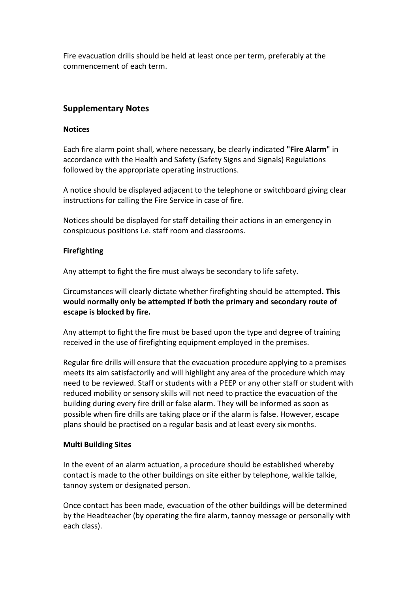Fire evacuation drills should be held at least once per term, preferably at the commencement of each term.

#### **Supplementary Notes**

#### **Notices**

Each fire alarm point shall, where necessary, be clearly indicated **"Fire Alarm"** in accordance with the Health and Safety (Safety Signs and Signals) Regulations followed by the appropriate operating instructions.

A notice should be displayed adjacent to the telephone or switchboard giving clear instructions for calling the Fire Service in case of fire.

Notices should be displayed for staff detailing their actions in an emergency in conspicuous positions i.e. staff room and classrooms.

#### **Firefighting**

Any attempt to fight the fire must always be secondary to life safety.

Circumstances will clearly dictate whether firefighting should be attempted**. This would normally only be attempted if both the primary and secondary route of escape is blocked by fire.**

Any attempt to fight the fire must be based upon the type and degree of training received in the use of firefighting equipment employed in the premises.

Regular fire drills will ensure that the evacuation procedure applying to a premises meets its aim satisfactorily and will highlight any area of the procedure which may need to be reviewed. Staff or students with a PEEP or any other staff or student with reduced mobility or sensory skills will not need to practice the evacuation of the building during every fire drill or false alarm. They will be informed as soon as possible when fire drills are taking place or if the alarm is false. However, escape plans should be practised on a regular basis and at least every six months.

#### **Multi Building Sites**

In the event of an alarm actuation, a procedure should be established whereby contact is made to the other buildings on site either by telephone, walkie talkie, tannoy system or designated person.

Once contact has been made, evacuation of the other buildings will be determined by the Headteacher (by operating the fire alarm, tannoy message or personally with each class).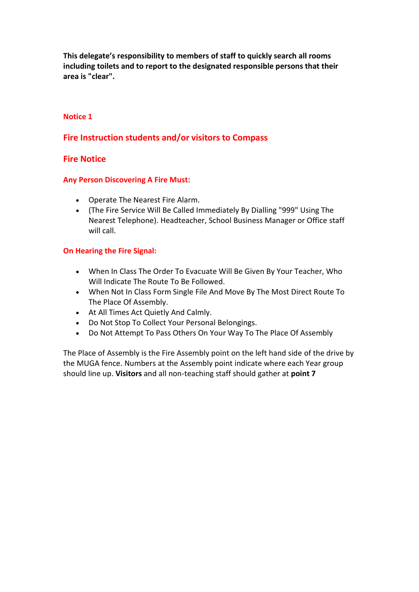**This delegate's responsibility to members of staff to quickly search all rooms including toilets and to report to the designated responsible persons that their area is "clear".** 

#### **Notice 1**

#### **Fire Instruction students and/or visitors to Compass**

#### **Fire Notice**

#### **Any Person Discovering A Fire Must:**

- Operate The Nearest Fire Alarm.
- (The Fire Service Will Be Called Immediately By Dialling "999" Using The Nearest Telephone). Headteacher, School Business Manager or Office staff will call.

#### **On Hearing the Fire Signal:**

- When In Class The Order To Evacuate Will Be Given By Your Teacher, Who Will Indicate The Route To Be Followed.
- When Not In Class Form Single File And Move By The Most Direct Route To The Place Of Assembly.
- At All Times Act Quietly And Calmly.
- Do Not Stop To Collect Your Personal Belongings.
- Do Not Attempt To Pass Others On Your Way To The Place Of Assembly

The Place of Assembly is the Fire Assembly point on the left hand side of the drive by the MUGA fence. Numbers at the Assembly point indicate where each Year group should line up. **Visitors** and all non-teaching staff should gather at **point 7**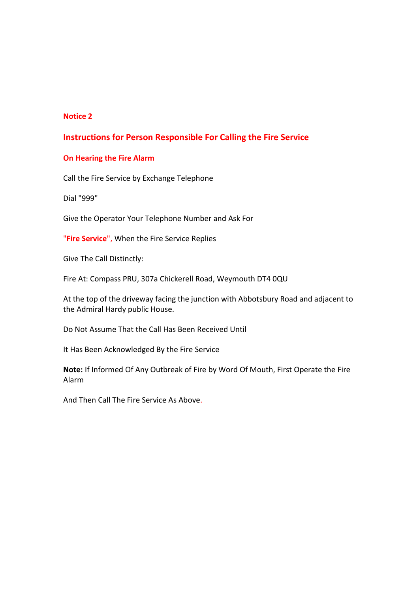#### **Notice 2**

#### **Instructions for Person Responsible For Calling the Fire Service**

#### **On Hearing the Fire Alarm**

Call the Fire Service by Exchange Telephone

Dial "999"

Give the Operator Your Telephone Number and Ask For

"**Fire Service**", When the Fire Service Replies

Give The Call Distinctly:

Fire At: Compass PRU, 307a Chickerell Road, Weymouth DT4 0QU

At the top of the driveway facing the junction with Abbotsbury Road and adjacent to the Admiral Hardy public House.

Do Not Assume That the Call Has Been Received Until

It Has Been Acknowledged By the Fire Service

**Note:** If Informed Of Any Outbreak of Fire by Word Of Mouth, First Operate the Fire Alarm

And Then Call The Fire Service As Above.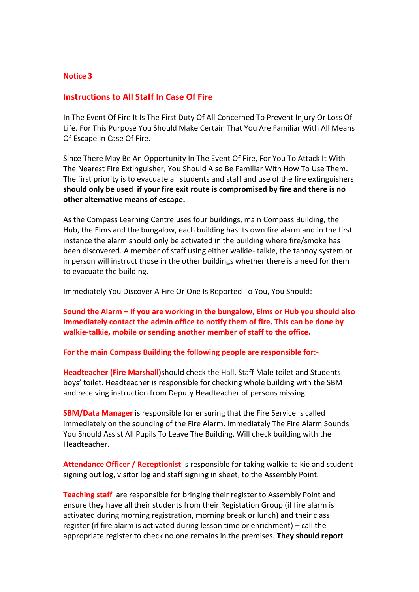#### **Notice 3**

#### **Instructions to All Staff In Case Of Fire**

In The Event Of Fire It Is The First Duty Of All Concerned To Prevent Injury Or Loss Of Life. For This Purpose You Should Make Certain That You Are Familiar With All Means Of Escape In Case Of Fire.

Since There May Be An Opportunity In The Event Of Fire, For You To Attack It With The Nearest Fire Extinguisher, You Should Also Be Familiar With How To Use Them. The first priority is to evacuate all students and staff and use of the fire extinguishers **should only be used if your fire exit route is compromised by fire and there is no other alternative means of escape.** 

As the Compass Learning Centre uses four buildings, main Compass Building, the Hub, the Elms and the bungalow, each building has its own fire alarm and in the first instance the alarm should only be activated in the building where fire/smoke has been discovered. A member of staff using either walkie- talkie, the tannoy system or in person will instruct those in the other buildings whether there is a need for them to evacuate the building.

Immediately You Discover A Fire Or One Is Reported To You, You Should:

**Sound the Alarm – If you are working in the bungalow, Elms or Hub you should also immediately contact the admin office to notify them of fire. This can be done by walkie-talkie, mobile or sending another member of staff to the office.**

**For the main Compass Building the following people are responsible for:-**

**Headteacher (Fire Marshall)**should check the Hall, Staff Male toilet and Students boys' toilet. Headteacher is responsible for checking whole building with the SBM and receiving instruction from Deputy Headteacher of persons missing.

**SBM/Data Manager** is responsible for ensuring that the Fire Service Is called immediately on the sounding of the Fire Alarm. Immediately The Fire Alarm Sounds You Should Assist All Pupils To Leave The Building. Will check building with the Headteacher.

**Attendance Officer / Receptionist** is responsible for taking walkie-talkie and student signing out log, visitor log and staff signing in sheet, to the Assembly Point.

**Teaching staff** are responsible for bringing their register to Assembly Point and ensure they have all their students from their Registation Group (if fire alarm is activated during morning registration, morning break or lunch) and their class register (if fire alarm is activated during lesson time or enrichment) – call the appropriate register to check no one remains in the premises. **They should report**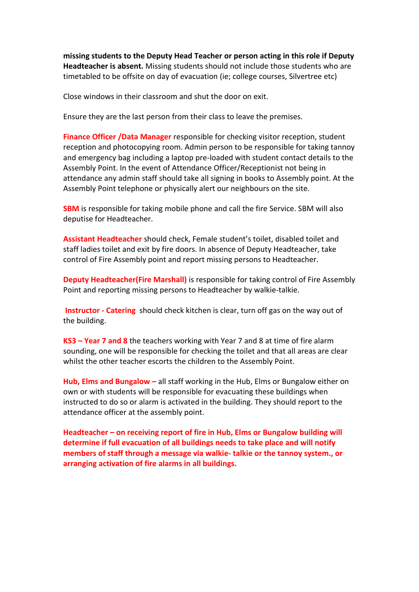**missing students to the Deputy Head Teacher or person acting in this role if Deputy Headteacher is absent.** Missing students should not include those students who are timetabled to be offsite on day of evacuation (ie; college courses, Silvertree etc)

Close windows in their classroom and shut the door on exit.

Ensure they are the last person from their class to leave the premises.

**Finance Officer /Data Manager** responsible for checking visitor reception, student reception and photocopying room. Admin person to be responsible for taking tannoy and emergency bag including a laptop pre-loaded with student contact details to the Assembly Point. In the event of Attendance Officer/Receptionist not being in attendance any admin staff should take all signing in books to Assembly point. At the Assembly Point telephone or physically alert our neighbours on the site.

**SBM** is responsible for taking mobile phone and call the fire Service. SBM will also deputise for Headteacher.

**Assistant Headteacher** should check, Female student's toilet, disabled toilet and staff ladies toilet and exit by fire doors. In absence of Deputy Headteacher, take control of Fire Assembly point and report missing persons to Headteacher.

**Deputy Headteacher(Fire Marshall)** is responsible for taking control of Fire Assembly Point and reporting missing persons to Headteacher by walkie-talkie.

**Instructor - Catering** should check kitchen is clear, turn off gas on the way out of the building.

**KS3 – Year 7 and 8** the teachers working with Year 7 and 8 at time of fire alarm sounding, one will be responsible for checking the toilet and that all areas are clear whilst the other teacher escorts the children to the Assembly Point.

**Hub, Elms and Bungalow –** all staff working in the Hub, Elms or Bungalow either on own or with students will be responsible for evacuating these buildings when instructed to do so or alarm is activated in the building. They should report to the attendance officer at the assembly point.

**Headteacher – on receiving report of fire in Hub, Elms or Bungalow building will determine if full evacuation of all buildings needs to take place and will notify members of staff through a message via walkie- talkie or the tannoy system., or arranging activation of fire alarms in all buildings.**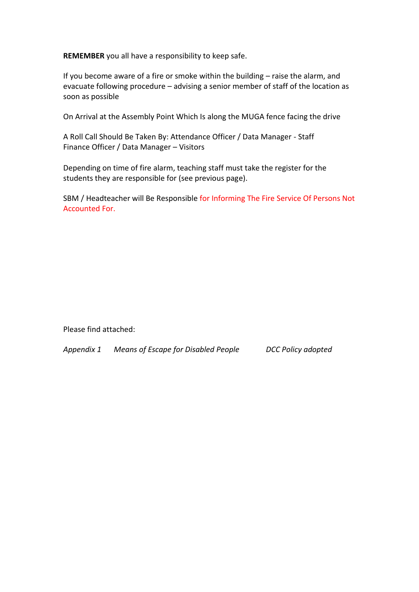**REMEMBER** you all have a responsibility to keep safe.

If you become aware of a fire or smoke within the building – raise the alarm, and evacuate following procedure – advising a senior member of staff of the location as soon as possible

On Arrival at the Assembly Point Which Is along the MUGA fence facing the drive

A Roll Call Should Be Taken By: Attendance Officer / Data Manager - Staff Finance Officer / Data Manager – Visitors

Depending on time of fire alarm, teaching staff must take the register for the students they are responsible for (see previous page).

SBM / Headteacher will Be Responsible for Informing The Fire Service Of Persons Not Accounted For.

Please find attached:

*Appendix 1 Means of Escape for Disabled People DCC Policy adopted*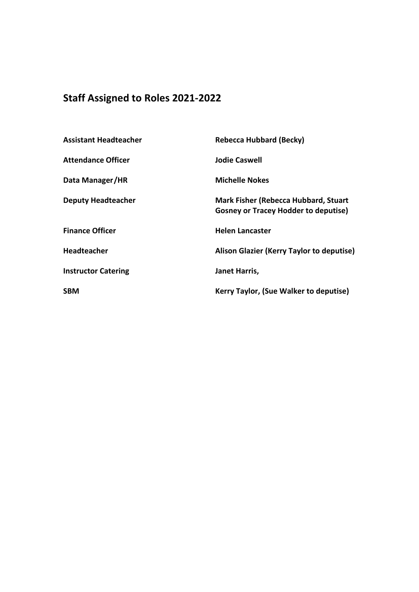### **Staff Assigned to Roles 2021-2022**

| <b>Assistant Headteacher</b> | <b>Rebecca Hubbard (Becky)</b>                                                             |
|------------------------------|--------------------------------------------------------------------------------------------|
| <b>Attendance Officer</b>    | <b>Jodie Caswell</b>                                                                       |
| Data Manager/HR              | <b>Michelle Nokes</b>                                                                      |
| <b>Deputy Headteacher</b>    | <b>Mark Fisher (Rebecca Hubbard, Stuart</b><br><b>Gosney or Tracey Hodder to deputise)</b> |
| <b>Finance Officer</b>       | <b>Helen Lancaster</b>                                                                     |
| <b>Headteacher</b>           | Alison Glazier (Kerry Taylor to deputise)                                                  |
| <b>Instructor Catering</b>   | Janet Harris,                                                                              |
| <b>SBM</b>                   | Kerry Taylor, (Sue Walker to deputise)                                                     |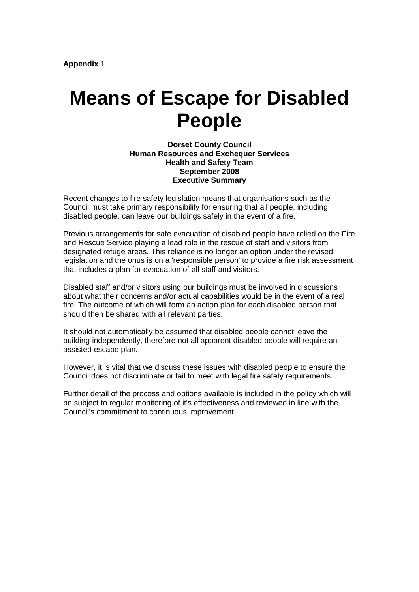## **Means of Escape for Disabled People**

**Dorset County Council Human Resources and Exchequer Services Health and Safety Team September 2008 Executive Summary**

Recent changes to fire safety legislation means that organisations such as the Council must take primary responsibility for ensuring that all people, including disabled people, can leave our buildings safely in the event of a fire.

Previous arrangements for safe evacuation of disabled people have relied on the Fire and Rescue Service playing a lead role in the rescue of staff and visitors from designated refuge areas. This reliance is no longer an option under the revised legislation and the onus is on a 'responsible person' to provide a fire risk assessment that includes a plan for evacuation of all staff and visitors.

Disabled staff and/or visitors using our buildings must be involved in discussions about what their concerns and/or actual capabilities would be in the event of a real fire. The outcome of which will form an action plan for each disabled person that should then be shared with all relevant parties.

It should not automatically be assumed that disabled people cannot leave the building independently, therefore not all apparent disabled people will require an assisted escape plan.

However, it is vital that we discuss these issues with disabled people to ensure the Council does not discriminate or fail to meet with legal fire safety requirements.

Further detail of the process and options available is included in the policy which will be subject to regular monitoring of it's effectiveness and reviewed in line with the Council's commitment to continuous improvement.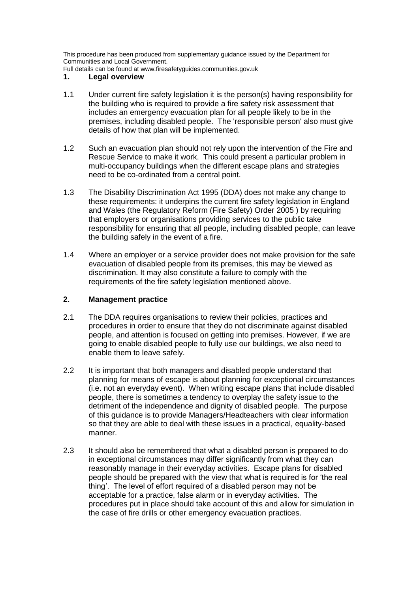This procedure has been produced from supplementary guidance issued by the Department for Communities and Local Government.

Full details can be found at www.firesafetyguides.communities.gov.uk

#### **1. Legal overview**

- 1.1 Under current fire safety legislation it is the person(s) having responsibility for the building who is required to provide a fire safety risk assessment that includes an emergency evacuation plan for all people likely to be in the premises, including disabled people. The 'responsible person' also must give details of how that plan will be implemented.
- 1.2 Such an evacuation plan should not rely upon the intervention of the Fire and Rescue Service to make it work. This could present a particular problem in multi-occupancy buildings when the different escape plans and strategies need to be co-ordinated from a central point.
- 1.3 The Disability Discrimination Act 1995 (DDA) does not make any change to these requirements: it underpins the current fire safety legislation in England and Wales (the Regulatory Reform (Fire Safety) Order 2005 ) by requiring that employers or organisations providing services to the public take responsibility for ensuring that all people, including disabled people, can leave the building safely in the event of a fire.
- 1.4 Where an employer or a service provider does not make provision for the safe evacuation of disabled people from its premises, this may be viewed as discrimination. It may also constitute a failure to comply with the requirements of the fire safety legislation mentioned above.

#### **2. Management practice**

- 2.1 The DDA requires organisations to review their policies, practices and procedures in order to ensure that they do not discriminate against disabled people, and attention is focused on getting into premises. However, if we are going to enable disabled people to fully use our buildings, we also need to enable them to leave safely.
- 2.2 It is important that both managers and disabled people understand that planning for means of escape is about planning for exceptional circumstances (i.e. not an everyday event). When writing escape plans that include disabled people, there is sometimes a tendency to overplay the safety issue to the detriment of the independence and dignity of disabled people. The purpose of this guidance is to provide Managers/Headteachers with clear information so that they are able to deal with these issues in a practical, equality-based manner.
- 2.3 It should also be remembered that what a disabled person is prepared to do in exceptional circumstances may differ significantly from what they can reasonably manage in their everyday activities. Escape plans for disabled people should be prepared with the view that what is required is for 'the real thing'. The level of effort required of a disabled person may not be acceptable for a practice, false alarm or in everyday activities. The procedures put in place should take account of this and allow for simulation in the case of fire drills or other emergency evacuation practices.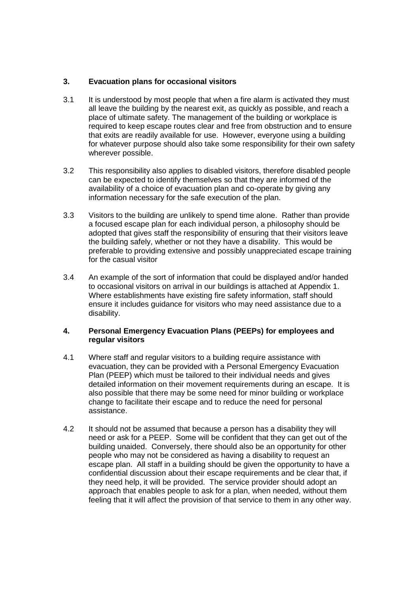#### **3. Evacuation plans for occasional visitors**

- 3.1 It is understood by most people that when a fire alarm is activated they must all leave the building by the nearest exit, as quickly as possible, and reach a place of ultimate safety. The management of the building or workplace is required to keep escape routes clear and free from obstruction and to ensure that exits are readily available for use. However, everyone using a building for whatever purpose should also take some responsibility for their own safety wherever possible.
- 3.2 This responsibility also applies to disabled visitors, therefore disabled people can be expected to identify themselves so that they are informed of the availability of a choice of evacuation plan and co-operate by giving any information necessary for the safe execution of the plan.
- 3.3 Visitors to the building are unlikely to spend time alone. Rather than provide a focused escape plan for each individual person, a philosophy should be adopted that gives staff the responsibility of ensuring that their visitors leave the building safely, whether or not they have a disability. This would be preferable to providing extensive and possibly unappreciated escape training for the casual visitor
- 3.4 An example of the sort of information that could be displayed and/or handed to occasional visitors on arrival in our buildings is attached at Appendix 1. Where establishments have existing fire safety information, staff should ensure it includes guidance for visitors who may need assistance due to a disability.

#### **4. Personal Emergency Evacuation Plans (PEEPs) for employees and regular visitors**

- 4.1 Where staff and regular visitors to a building require assistance with evacuation, they can be provided with a Personal Emergency Evacuation Plan (PEEP) which must be tailored to their individual needs and gives detailed information on their movement requirements during an escape. It is also possible that there may be some need for minor building or workplace change to facilitate their escape and to reduce the need for personal assistance.
- 4.2 It should not be assumed that because a person has a disability they will need or ask for a PEEP. Some will be confident that they can get out of the building unaided. Conversely, there should also be an opportunity for other people who may not be considered as having a disability to request an escape plan. All staff in a building should be given the opportunity to have a confidential discussion about their escape requirements and be clear that, if they need help, it will be provided. The service provider should adopt an approach that enables people to ask for a plan, when needed, without them feeling that it will affect the provision of that service to them in any other way.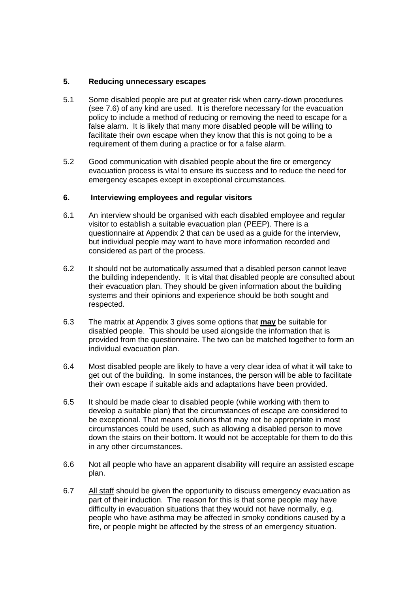#### **5. Reducing unnecessary escapes**

- 5.1 Some disabled people are put at greater risk when carry-down procedures (see 7.6) of any kind are used. It is therefore necessary for the evacuation policy to include a method of reducing or removing the need to escape for a false alarm. It is likely that many more disabled people will be willing to facilitate their own escape when they know that this is not going to be a requirement of them during a practice or for a false alarm.
- 5.2 Good communication with disabled people about the fire or emergency evacuation process is vital to ensure its success and to reduce the need for emergency escapes except in exceptional circumstances.

#### **6. Interviewing employees and regular visitors**

- 6.1 An interview should be organised with each disabled employee and regular visitor to establish a suitable evacuation plan (PEEP). There is a questionnaire at Appendix 2 that can be used as a guide for the interview, but individual people may want to have more information recorded and considered as part of the process.
- 6.2 It should not be automatically assumed that a disabled person cannot leave the building independently. It is vital that disabled people are consulted about their evacuation plan. They should be given information about the building systems and their opinions and experience should be both sought and respected.
- 6.3 The matrix at Appendix 3 gives some options that **may** be suitable for disabled people. This should be used alongside the information that is provided from the questionnaire. The two can be matched together to form an individual evacuation plan.
- 6.4 Most disabled people are likely to have a very clear idea of what it will take to get out of the building. In some instances, the person will be able to facilitate their own escape if suitable aids and adaptations have been provided.
- 6.5 It should be made clear to disabled people (while working with them to develop a suitable plan) that the circumstances of escape are considered to be exceptional. That means solutions that may not be appropriate in most circumstances could be used, such as allowing a disabled person to move down the stairs on their bottom. It would not be acceptable for them to do this in any other circumstances.
- 6.6 Not all people who have an apparent disability will require an assisted escape plan.
- 6.7 All staff should be given the opportunity to discuss emergency evacuation as part of their induction. The reason for this is that some people may have difficulty in evacuation situations that they would not have normally, e.g. people who have asthma may be affected in smoky conditions caused by a fire, or people might be affected by the stress of an emergency situation.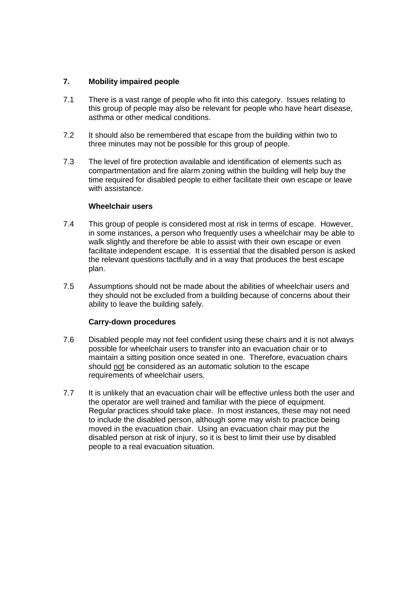#### **7. Mobility impaired people**

- 7.1 There is a vast range of people who fit into this category. Issues relating to this group of people may also be relevant for people who have heart disease, asthma or other medical conditions.
- 7.2 It should also be remembered that escape from the building within two to three minutes may not be possible for this group of people.
- 7.3 The level of fire protection available and identification of elements such as compartmentation and fire alarm zoning within the building will help buy the time required for disabled people to either facilitate their own escape or leave with assistance.

#### **Wheelchair users**

- 7.4 This group of people is considered most at risk in terms of escape. However, in some instances, a person who frequently uses a wheelchair may be able to walk slightly and therefore be able to assist with their own escape or even facilitate independent escape. It is essential that the disabled person is asked the relevant questions tactfully and in a way that produces the best escape plan.
- 7.5 Assumptions should not be made about the abilities of wheelchair users and they should not be excluded from a building because of concerns about their ability to leave the building safely.

#### **Carry-down procedures**

- 7.6 Disabled people may not feel confident using these chairs and it is not always possible for wheelchair users to transfer into an evacuation chair or to maintain a sitting position once seated in one. Therefore, evacuation chairs should not be considered as an automatic solution to the escape requirements of wheelchair users.
- 7.7 It is unlikely that an evacuation chair will be effective unless both the user and the operator are well trained and familiar with the piece of equipment. Regular practices should take place. In most instances, these may not need to include the disabled person, although some may wish to practice being moved in the evacuation chair. Using an evacuation chair may put the disabled person at risk of injury, so it is best to limit their use by disabled people to a real evacuation situation.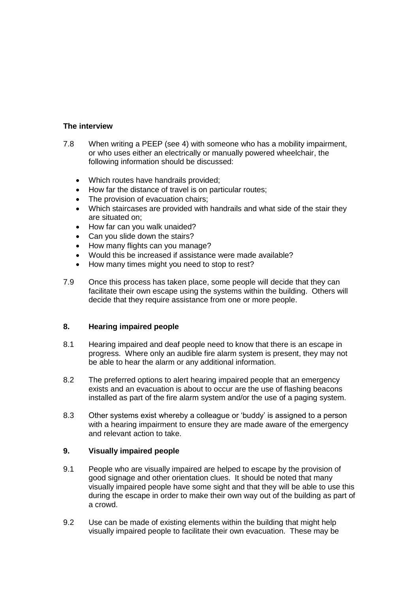#### **The interview**

- 7.8 When writing a PEEP (see 4) with someone who has a mobility impairment, or who uses either an electrically or manually powered wheelchair, the following information should be discussed:
	- Which routes have handrails provided;
	- How far the distance of travel is on particular routes;
	- The provision of evacuation chairs;
	- Which staircases are provided with handrails and what side of the stair they are situated on;
	- How far can you walk unaided?
	- Can you slide down the stairs?
	- How many flights can you manage?
	- Would this be increased if assistance were made available?
	- How many times might you need to stop to rest?
- 7.9 Once this process has taken place, some people will decide that they can facilitate their own escape using the systems within the building. Others will decide that they require assistance from one or more people.

#### **8. Hearing impaired people**

- 8.1 Hearing impaired and deaf people need to know that there is an escape in progress. Where only an audible fire alarm system is present, they may not be able to hear the alarm or any additional information.
- 8.2 The preferred options to alert hearing impaired people that an emergency exists and an evacuation is about to occur are the use of flashing beacons installed as part of the fire alarm system and/or the use of a paging system.
- 8.3 Other systems exist whereby a colleague or 'buddy' is assigned to a person with a hearing impairment to ensure they are made aware of the emergency and relevant action to take.

#### **9. Visually impaired people**

- 9.1 People who are visually impaired are helped to escape by the provision of good signage and other orientation clues. It should be noted that many visually impaired people have some sight and that they will be able to use this during the escape in order to make their own way out of the building as part of a crowd.
- 9.2 Use can be made of existing elements within the building that might help visually impaired people to facilitate their own evacuation. These may be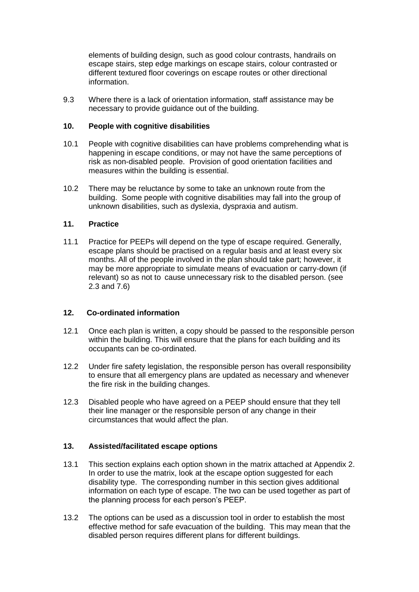elements of building design, such as good colour contrasts, handrails on escape stairs, step edge markings on escape stairs, colour contrasted or different textured floor coverings on escape routes or other directional information.

9.3 Where there is a lack of orientation information, staff assistance may be necessary to provide guidance out of the building.

#### **10. People with cognitive disabilities**

- 10.1 People with cognitive disabilities can have problems comprehending what is happening in escape conditions, or may not have the same perceptions of risk as non-disabled people. Provision of good orientation facilities and measures within the building is essential.
- 10.2 There may be reluctance by some to take an unknown route from the building. Some people with cognitive disabilities may fall into the group of unknown disabilities, such as dyslexia, dyspraxia and autism.

#### **11. Practice**

11.1 Practice for PEEPs will depend on the type of escape required. Generally, escape plans should be practised on a regular basis and at least every six months. All of the people involved in the plan should take part; however, it may be more appropriate to simulate means of evacuation or carry-down (if relevant) so as not to cause unnecessary risk to the disabled person. (see 2.3 and 7.6)

#### **12. Co-ordinated information**

- 12.1 Once each plan is written, a copy should be passed to the responsible person within the building. This will ensure that the plans for each building and its occupants can be co-ordinated.
- 12.2 Under fire safety legislation, the responsible person has overall responsibility to ensure that all emergency plans are updated as necessary and whenever the fire risk in the building changes.
- 12.3 Disabled people who have agreed on a PEEP should ensure that they tell their line manager or the responsible person of any change in their circumstances that would affect the plan.

#### **13. Assisted/facilitated escape options**

- 13.1 This section explains each option shown in the matrix attached at Appendix 2. In order to use the matrix, look at the escape option suggested for each disability type. The corresponding number in this section gives additional information on each type of escape. The two can be used together as part of the planning process for each person's PEEP.
- 13.2 The options can be used as a discussion tool in order to establish the most effective method for safe evacuation of the building. This may mean that the disabled person requires different plans for different buildings.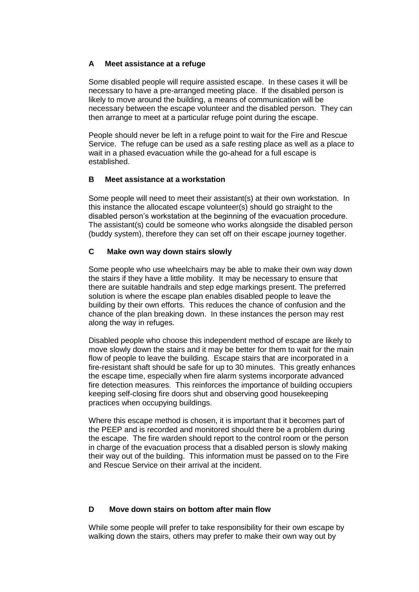#### **A Meet assistance at a refuge**

Some disabled people will require assisted escape. In these cases it will be necessary to have a pre-arranged meeting place. If the disabled person is likely to move around the building, a means of communication will be necessary between the escape volunteer and the disabled person. They can then arrange to meet at a particular refuge point during the escape.

People should never be left in a refuge point to wait for the Fire and Rescue Service. The refuge can be used as a safe resting place as well as a place to wait in a phased evacuation while the go-ahead for a full escape is established.

#### **B Meet assistance at a workstation**

Some people will need to meet their assistant(s) at their own workstation. In this instance the allocated escape volunteer(s) should go straight to the disabled person's workstation at the beginning of the evacuation procedure. The assistant(s) could be someone who works alongside the disabled person (buddy system), therefore they can set off on their escape journey together.

#### **C Make own way down stairs slowly**

Some people who use wheelchairs may be able to make their own way down the stairs if they have a little mobility. It may be necessary to ensure that there are suitable handrails and step edge markings present. The preferred solution is where the escape plan enables disabled people to leave the building by their own efforts. This reduces the chance of confusion and the chance of the plan breaking down. In these instances the person may rest along the way in refuges.

Disabled people who choose this independent method of escape are likely to move slowly down the stairs and it may be better for them to wait for the main flow of people to leave the building. Escape stairs that are incorporated in a fire-resistant shaft should be safe for up to 30 minutes. This greatly enhances the escape time, especially when fire alarm systems incorporate advanced fire detection measures. This reinforces the importance of building occupiers keeping self-closing fire doors shut and observing good housekeeping practices when occupying buildings.

Where this escape method is chosen, it is important that it becomes part of the PEEP and is recorded and monitored should there be a problem during the escape. The fire warden should report to the control room or the person in charge of the evacuation process that a disabled person is slowly making their way out of the building. This information must be passed on to the Fire and Rescue Service on their arrival at the incident.

#### **D Move down stairs on bottom after main flow**

While some people will prefer to take responsibility for their own escape by walking down the stairs, others may prefer to make their own way out by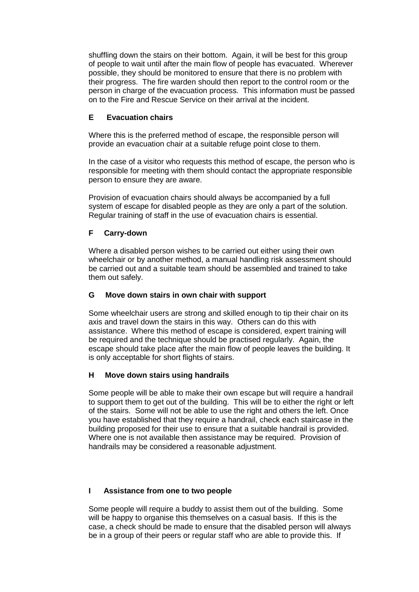shuffling down the stairs on their bottom. Again, it will be best for this group of people to wait until after the main flow of people has evacuated. Wherever possible, they should be monitored to ensure that there is no problem with their progress. The fire warden should then report to the control room or the person in charge of the evacuation process. This information must be passed on to the Fire and Rescue Service on their arrival at the incident.

#### **E Evacuation chairs**

Where this is the preferred method of escape, the responsible person will provide an evacuation chair at a suitable refuge point close to them.

In the case of a visitor who requests this method of escape, the person who is responsible for meeting with them should contact the appropriate responsible person to ensure they are aware.

Provision of evacuation chairs should always be accompanied by a full system of escape for disabled people as they are only a part of the solution. Regular training of staff in the use of evacuation chairs is essential.

#### **F Carry-down**

Where a disabled person wishes to be carried out either using their own wheelchair or by another method, a manual handling risk assessment should be carried out and a suitable team should be assembled and trained to take them out safely.

#### **G Move down stairs in own chair with support**

Some wheelchair users are strong and skilled enough to tip their chair on its axis and travel down the stairs in this way. Others can do this with assistance. Where this method of escape is considered, expert training will be required and the technique should be practised regularly. Again, the escape should take place after the main flow of people leaves the building. It is only acceptable for short flights of stairs.

#### **H Move down stairs using handrails**

Some people will be able to make their own escape but will require a handrail to support them to get out of the building. This will be to either the right or left of the stairs. Some will not be able to use the right and others the left. Once you have established that they require a handrail, check each staircase in the building proposed for their use to ensure that a suitable handrail is provided. Where one is not available then assistance may be required. Provision of handrails may be considered a reasonable adjustment.

#### **I Assistance from one to two people**

Some people will require a buddy to assist them out of the building. Some will be happy to organise this themselves on a casual basis. If this is the case, a check should be made to ensure that the disabled person will always be in a group of their peers or regular staff who are able to provide this. If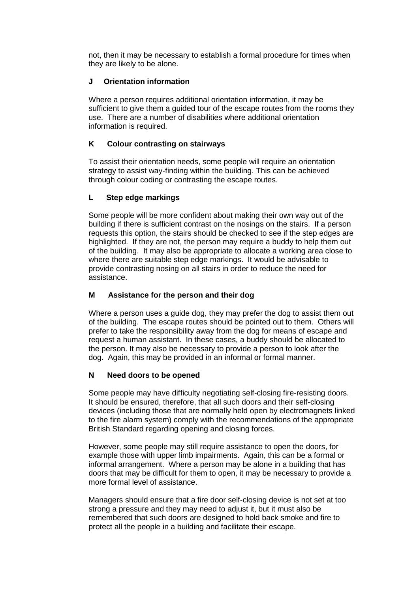not, then it may be necessary to establish a formal procedure for times when they are likely to be alone.

#### **J Orientation information**

Where a person requires additional orientation information, it may be sufficient to give them a guided tour of the escape routes from the rooms they use. There are a number of disabilities where additional orientation information is required.

#### **K Colour contrasting on stairways**

To assist their orientation needs, some people will require an orientation strategy to assist way-finding within the building. This can be achieved through colour coding or contrasting the escape routes.

#### **L Step edge markings**

Some people will be more confident about making their own way out of the building if there is sufficient contrast on the nosings on the stairs. If a person requests this option, the stairs should be checked to see if the step edges are highlighted. If they are not, the person may require a buddy to help them out of the building. It may also be appropriate to allocate a working area close to where there are suitable step edge markings. It would be advisable to provide contrasting nosing on all stairs in order to reduce the need for assistance.

#### **M Assistance for the person and their dog**

Where a person uses a guide dog, they may prefer the dog to assist them out of the building. The escape routes should be pointed out to them. Others will prefer to take the responsibility away from the dog for means of escape and request a human assistant. In these cases, a buddy should be allocated to the person. It may also be necessary to provide a person to look after the dog. Again, this may be provided in an informal or formal manner.

#### **N Need doors to be opened**

Some people may have difficulty negotiating self-closing fire-resisting doors. It should be ensured, therefore, that all such doors and their self-closing devices (including those that are normally held open by electromagnets linked to the fire alarm system) comply with the recommendations of the appropriate British Standard regarding opening and closing forces.

However, some people may still require assistance to open the doors, for example those with upper limb impairments. Again, this can be a formal or informal arrangement. Where a person may be alone in a building that has doors that may be difficult for them to open, it may be necessary to provide a more formal level of assistance.

Managers should ensure that a fire door self-closing device is not set at too strong a pressure and they may need to adjust it, but it must also be remembered that such doors are designed to hold back smoke and fire to protect all the people in a building and facilitate their escape.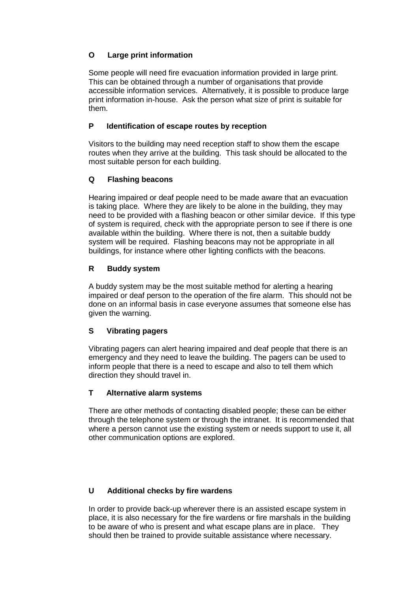#### **O Large print information**

Some people will need fire evacuation information provided in large print. This can be obtained through a number of organisations that provide accessible information services. Alternatively, it is possible to produce large print information in-house. Ask the person what size of print is suitable for them.

#### **P Identification of escape routes by reception**

Visitors to the building may need reception staff to show them the escape routes when they arrive at the building. This task should be allocated to the most suitable person for each building.

#### **Q Flashing beacons**

Hearing impaired or deaf people need to be made aware that an evacuation is taking place. Where they are likely to be alone in the building, they may need to be provided with a flashing beacon or other similar device. If this type of system is required, check with the appropriate person to see if there is one available within the building. Where there is not, then a suitable buddy system will be required. Flashing beacons may not be appropriate in all buildings, for instance where other lighting conflicts with the beacons.

#### **R Buddy system**

A buddy system may be the most suitable method for alerting a hearing impaired or deaf person to the operation of the fire alarm. This should not be done on an informal basis in case everyone assumes that someone else has given the warning.

#### **S Vibrating pagers**

Vibrating pagers can alert hearing impaired and deaf people that there is an emergency and they need to leave the building. The pagers can be used to inform people that there is a need to escape and also to tell them which direction they should travel in.

#### **T Alternative alarm systems**

There are other methods of contacting disabled people; these can be either through the telephone system or through the intranet. It is recommended that where a person cannot use the existing system or needs support to use it, all other communication options are explored.

#### **U Additional checks by fire wardens**

In order to provide back-up wherever there is an assisted escape system in place, it is also necessary for the fire wardens or fire marshals in the building to be aware of who is present and what escape plans are in place. They should then be trained to provide suitable assistance where necessary.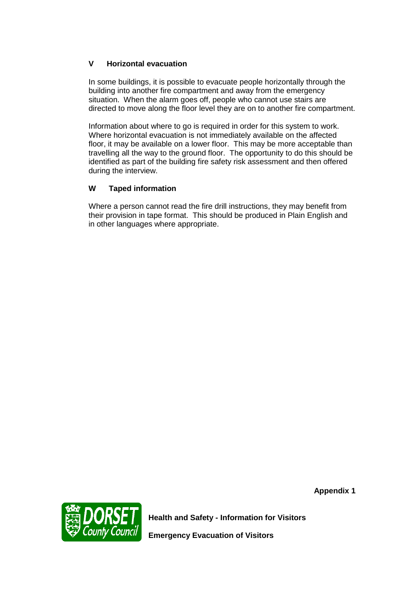#### **V Horizontal evacuation**

In some buildings, it is possible to evacuate people horizontally through the building into another fire compartment and away from the emergency situation. When the alarm goes off, people who cannot use stairs are directed to move along the floor level they are on to another fire compartment.

Information about where to go is required in order for this system to work. Where horizontal evacuation is not immediately available on the affected floor, it may be available on a lower floor. This may be more acceptable than travelling all the way to the ground floor. The opportunity to do this should be identified as part of the building fire safety risk assessment and then offered during the interview.

#### **W Taped information**

Where a person cannot read the fire drill instructions, they may benefit from their provision in tape format. This should be produced in Plain English and in other languages where appropriate.

**Appendix 1**



**Health and Safety - Information for Visitors**

**Emergency Evacuation of Visitors**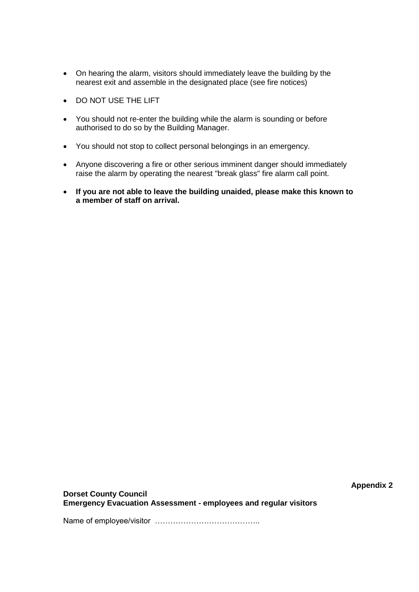- On hearing the alarm, visitors should immediately leave the building by the nearest exit and assemble in the designated place (see fire notices)
- DO NOT USE THE LIFT
- You should not re-enter the building while the alarm is sounding or before authorised to do so by the Building Manager.
- You should not stop to collect personal belongings in an emergency.
- Anyone discovering a fire or other serious imminent danger should immediately raise the alarm by operating the nearest "break glass" fire alarm call point.
- **If you are not able to leave the building unaided, please make this known to a member of staff on arrival.**

**Appendix 2**

**Dorset County Council Emergency Evacuation Assessment - employees and regular visitors**

Name of employee/visitor …………………………………..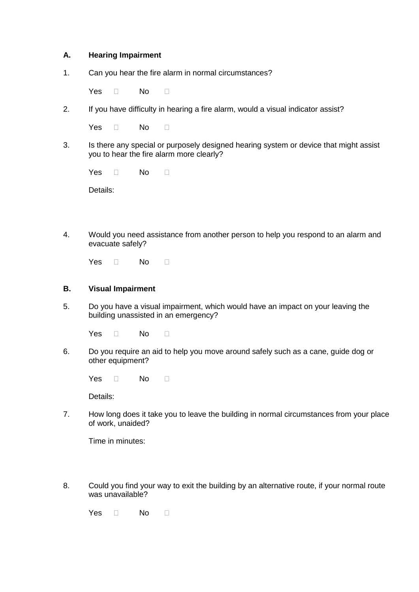#### **A. Hearing Impairment**

1. Can you hear the fire alarm in normal circumstances?

Yes  $\Box$  No  $\Box$ 

2. If you have difficulty in hearing a fire alarm, would a visual indicator assist?

Yes  $\Box$  No  $\Box$ 

3. Is there any special or purposely designed hearing system or device that might assist you to hear the fire alarm more clearly?

Yes  $\Box$  No  $\Box$ 

Details:

4. Would you need assistance from another person to help you respond to an alarm and evacuate safely?

Yes  $\Box$  No  $\Box$ 

#### **B. Visual Impairment**

5. Do you have a visual impairment, which would have an impact on your leaving the building unassisted in an emergency?

Yes  $\Box$  No  $\Box$ 

6. Do you require an aid to help you move around safely such as a cane, guide dog or other equipment?

 $Yes \t No \t \Box$ 

Details:

7. How long does it take you to leave the building in normal circumstances from your place of work, unaided?

Time in minutes:

8. Could you find your way to exit the building by an alternative route, if your normal route was unavailable?

Yes  $\Box$  No  $\Box$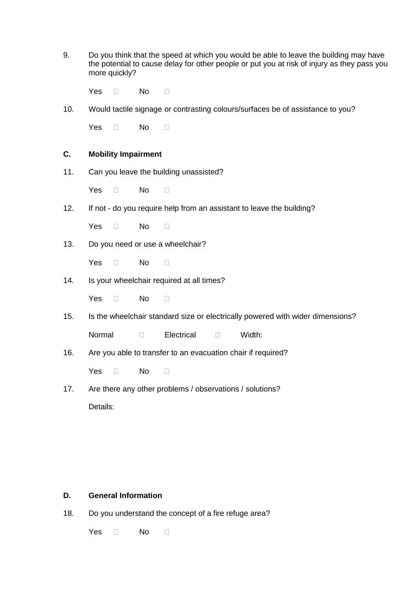9. Do you think that the speed at which you would be able to leave the building may have the potential to cause delay for other people or put you at risk of injury as they pass you more quickly?

Yes  $\Box$  No  $\Box$ 

10. Would tactile signage or contrasting colours/surfaces be of assistance to you?

Yes  $\Box$  No  $\Box$ 

#### **C. Mobility Impairment**

11. Can you leave the building unassisted?

Yes  $\Box$  No  $\Box$ 

12. If not - do you require help from an assistant to leave the building?

Yes  $\Box$  No  $\Box$ 

13. Do you need or use a wheelchair?

Yes  $\Box$  No  $\Box$ 

14. Is your wheelchair required at all times?

Yes  $\Box$  No  $\Box$ 

15. Is the wheelchair standard size or electrically powered with wider dimensions?

Normal  $\Box$ Electrical  $\Box$ Width:

16. Are you able to transfer to an evacuation chair if required?

Yes  $\Box$  No  $\Box$ 

17. Are there any other problems / observations / solutions?

Details:

#### **D. General Information**

18. Do you understand the concept of a fire refuge area?

Yes  $\Box$  No  $\Box$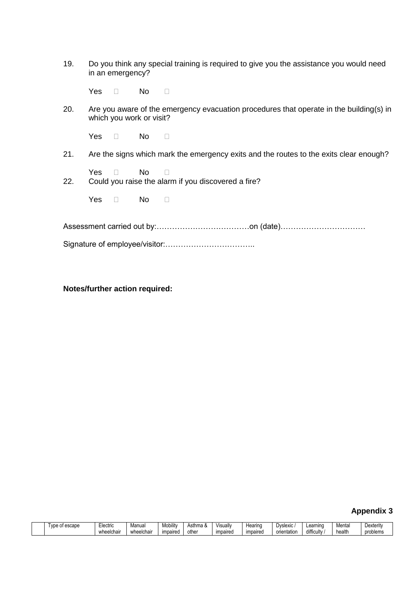| 19. | Do you think any special training is required to give you the assistance you would need |
|-----|-----------------------------------------------------------------------------------------|
|     | in an emergency?                                                                        |

Yes  $\Box$  No  $\Box$ 

20. Are you aware of the emergency evacuation procedures that operate in the building(s) in which you work or visit?

Yes  $\Box$  No  $\Box$ 

- 21. Are the signs which mark the emergency exits and the routes to the exits clear enough?
- $Yes \t No \t N$ 22. Could you raise the alarm if you discovered a fire?

Yes  $\Box$  No  $\Box$ 

Assessment carried out by:………………………………on (date)……………………………

Signature of employee/visitor:……………………………..

#### **Notes/further action required:**

#### **Appendix 3**

| escape<br>vpe | ∟lectric   | Manual     | <br>Mobilit | . Asthma | 'ısual   | Hearıng  | Dyslexic           | Learning<br>. .                        | Menta  | Dexterity |
|---------------|------------|------------|-------------|----------|----------|----------|--------------------|----------------------------------------|--------|-----------|
|               | wheelchair | wheelchair | impaired    | other    | impaireo | impaireo | . .<br>orientation | $\overline{\phantom{a}}$<br>difficulty | health | problems  |